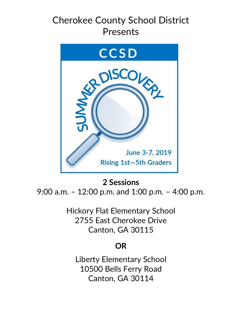# Cherokee County School District Presents



## **2 Sessions**

9:00 a.m. – 12:00 p.m. and 1:00 p.m. – 4:00 p.m.

Hickory Flat Elementary School 2755 East Cherokee Drive Canton, GA 30115

### **OR**

Liberty Elementary School 10500 Bells Ferry Road Canton, GA 30114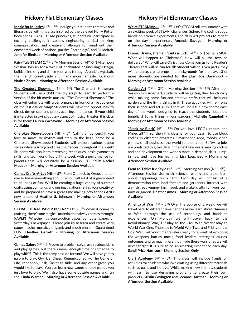#### **Hickory Flat Elementary Classes**

**Magic for Muggles** (4<sup>th</sup> – 5<sup>th</sup>) Indulge your student's creative and literary side with this class inspired by the beloved Harry Potter book series. Using STEAM principles, students will participate in exciting challenges in various engineering, critical thinking, communication, and creative challenges to round out their enchanted week of potions, puzzles, "herbology", and Quidditch. **Jennifer Bledsoe – Morning or Afternoon Session Available**

**Fairy Tale STEAM** (1<sup>st</sup> – 3<sup>rd</sup>)- Morning Session (4<sup>th</sup>-5<sup>th</sup>) Afternoon Session Join us for a week of enchanted engineering! Design, build, paint, sing and dance your way through Arandell, Agrabah, the French countryside and many more fantastic locations! **Naticia Zocca – Morning or Afternoon Session Available**

**The Greatest Showman** (1<sup>st</sup> - 5<sup>th</sup>) The Greatest Showman: Students will use a child friendly script to learn to perform a version of the hit movie-musical, "The Greatest Showman." The class will culminate with a performance in front of a live audience on the last day of camp! Students will have the opportunity to direct, design sets and props, act, sing, and dance. If your child is interested in trying out any aspect of musical theater, this class is for them! **Lauren Caccavone – Morning or Afternoon Session Available**

**Cherokee Showstoppers** (4th - 5<sup>th</sup>) Calling all dancers! If you love to move to rhythm and step to the beat, come be a Cherokee Showstopper! Students will explore various dance styles while learning and creating dances throughout the week! Students will also learn stretching techniques, basic gymnastics skills, and teamwork. Top off the week with a performance for parents that will definitely be a SHOW STOPPER! **Rachel Maddox – Morning or Afternoon Session Available**

**Camps Crafts-A-Lot (4th – 5th)** From Oobleck to Oreos and tiedye to twine, everything about Camp Crafts-A-Lot is guaranteed to be loads of fun! We'll be creating a huge variety of summer crafts using our hands and our imaginations! Bring your creativity and be prepared to have a great time making new friends AND new creations! **Heather S. Johnson – Morning or Afternoon Session Available**

**EXTRA! EXTRA! PAPER PIZZAZZ!** (1<sup>st</sup> - 5<sup>th</sup>) When it comes to crafting, there's one magical material that always comes through: PAPER! Whether it's construction paper, computer paper, or yesterday's newspaper. Please join us to learn and create with paper mache, mosaics, origami, and much more! Guaranteed FUN! **Heather Garrett – Morning or Afternoon Session Available**

**Games Galore** (4<sup>th</sup> – 5<sup>th</sup>) Love to problem solve, use strategy skills and play games, but there's never enough time or someone to play with?? This is the camp session for you! We will have games galore to play; Qwirkle, Chess, Rummikub, Sorry, The Game of Life, Monopoly, Risk, Ticket to Ride, and any other game you would like to play. You can learn new games or play games you just love to play. We'll also have some outside games and fun too. **Linda Warner – Morning or Afternoon Session Available**

### **Hickory Flat Elementary Classes**

**We're STEAMing....** (4<sup>th</sup> - 5<sup>th</sup>) Let's STEAM roll into summer with an exciting week of STEAM challenges, Sphero the coding robot, hands-on science experiments, and daily Art projects to reflect on the day's experiences**. Amanda Savage – Morning or Afternoon Session Available** 

**Drama, Drama, Drama!!! Santa is Sick...** (4<sup>th</sup> - 5<sup>th</sup>) Santa is SICK! What will happen to Christmas? How will all the toys be delivered? Who will save Christmas? Come join us for a Reader's Theater that will be fun for all! Student will be given parts, they will rehearse, create props and backgrounds for the play. 13 or more students are needed for the play. **Joe Davenport – Morning or Afternoon Session Available**

Garden Art (1<sup>st</sup> - 3<sup>rd</sup>) - Morning Session (4<sup>th</sup> -5<sup>th</sup>) Afternoon Session In Garden Art, students will be getting their hands dirty while making some fun and creative crafts that will help our garden and the living things in it. These activities will reinforce their science and art skills. There will be a fun new theme each day of the week, designed to teach the students about the beneficial living things in our gardens. **Michelle Campbell – Morning or Afternoon Session Available**

**"Block by Block"** (4th – 5th) Do you love LEGOs, robots, and Minecraft? If so, then this class is for you! Learn to use block coding in different programs. Smartphone apps, robots, video games, small business—the world runs on code. Software jobs are predicted to grow 34% in the next few years, making coding and app development the world's most in-demand skills. Jumpin now and have fun learning! **Lisa Lougheed – Morning or Afternoon Session Available**

**Farm to Table: Kid Style** (1<sup>st</sup> - 3<sup>rd</sup>)- Morning Session (4<sup>th</sup> - 5<sup>th</sup>) -Afternoon Session Use math, science, reading and art to learn about happenings on a farm! Each day will consist of a demonstration from local farmers and gardeners. Interact with animals, eat yummy farm food, and make crafts for your own farm or garden. **Heather Amos – Morning or Afternoon Session Available**

America at War (4<sup>th</sup> - 5<sup>th</sup>) Over the course of a week, we will travel back to different time periods as we learn about "America at War" through the use of technology and hands-on experiences. On Monday we will travel back to the Revolutionary War, Tuesday to the Civil War, Wednesday to World War One, Thursday to World War Two, and Friday to the Cold War. Get your time travelers ready for a week of exploring the weapons, battles, music, food, leaders, strategies, causes, outcomes, and so much more that made these wars ones we will never forget! It is sure to be an amazing experience each day! **Sandi Price Harrison – Morning Session Only**

**Craft Academy** (4<sup>th</sup> - 5<sup>th</sup>) This class will include hands on activities for students who love crafting using different materials such as paint and tie dye. While making new friends, students will learn to use designing programs to create their own products. **Kristin Covington and Leeanne Hartman – Morning or Afternoon Session Available**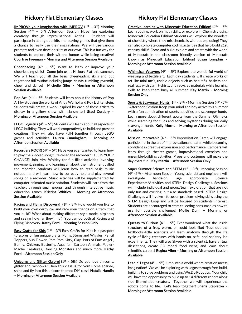#### **Hickory Flat Elementary Classes**

**IMPROVe your Imagination with IMPROV** (1st - 3rd) Morning Session ( $4<sup>th</sup>$  -  $5<sup>th</sup>$ ) Afternoon Session Have fun exploring creativity through Improvisational Acting! Students will participate in acting out skits and playing games that give them a chance to really use their imaginations. We will use various prompts and even develop skits of our own. This is a fun way for students to explore their wit and humor while being creative! **Courtnie Freeman – Morning and Afternoon Session Available** 

**Cheerleading**  $(4^{th} - 5^{th})$  Want to learn or improve your cheerleading skills? Come join us at Hickory Flat this summer. We will teach you all the basic cheerleading skills and put together a full routine including jumps, stunts, tumbling, pyramid, cheer and dance! **Michelle Giles – Morning or Afternoon Session Available**

Pop Art! (4<sup>th</sup> - 5<sup>th</sup>) Students will learn about the history of Pop Art by studying the works of Andy Warhol and Roy Lichtenstein. Students will create a work inspired by each of these artists to display in a gallery show with classmates! **Staci Cordery – Morning or Afternoon Session Available**

**LEGO Logistics** (4<sup>th</sup> - 5<sup>th</sup>) Students will learn about all aspects of LEGO building. They will work cooperatively to build and present creations. They will also have FUN together through LEGO games and activities. **Lauren Cunningham – Morning or Afternoon Session Available**

**Recorders ROCK!** (4<sup>th</sup> - 5<sup>th</sup>) Have you ever wanted to learn how to play the 7-holed song flute called the recorder? THIS IS YOUR CHANCE! Join Mrs. Whitley for fun-filled activities involving movement, singing, and learning all about the instrument called the recorder. Students will learn how to read basic music notation and will learn how to correctly hold and play several songs on a recorder. Music activities will be supplemented by computer-animated music notation. Students will learn from the teacher, through small groups, and through interactive music education games. **Kristina Whitley – Morning or Afternoon Session Available**

**Racing and Flying Discovery!** (1<sup>st</sup> - 3<sup>rd</sup>) How would you like to build your own derby car and race your friends on a track that you build? What about making different style model airplanes and seeing how far they'll fly? You can do both at Racing and Flying Discovery. **Kathy Ford – Morning Session Only**

**Easy Crafts for Kids** (1<sup>st</sup> - 3<sup>rd</sup>) Easy Crafts for Kids is a passport to scores of fun unique crafts: Poms, Stems and Wiggles: Pencil Toppers, Sun Flower, Pom Pom Kitty, Clay Pots of Fun: Angel , Bunny, Chicken, Butterfly, Aquarium Cartoon Animals, Papier-Mache Creatures, Dancing Monsters and much more. **Kathy Ford – Afternoon Session Only**

**Unicorns and Glitter Galore! (**1st – 5th) Do you love unicorns, glitter and rainbows? Then this class is for you! Come sparkle, shine and fly into this unicorn themed DIY class! **Natalie Hamlin** 

**– Morning or Afternoon Session Available**

#### **Hickory Flat Elementary Classes**

**Creative learning with Minecraft Education Edition!** (4<sup>th</sup> - 5<sup>th</sup>) Learn coding, work on math skills, or explore in Chemistry using Minecraft Education Edition! Students will explore the wonders of chemistry where they mix chemicals without exploding! They can also complete computer coding activities that help build 21st century skills! Come and build, explore and create with the world of Minecraft in the classroom friendly version of Minecraft known as Minecraft Education Edition! **Susan Lumpkin – Morning or Afternoon Session Available**

Whimsical Weavers (4<sup>th</sup> - 5<sup>th</sup>) Explore the wonderful world of weaving and textile art. Each day students will create works of art like mini-me's, usable objects such as beautiful baskets and real rugs with yarn, t-shirts, and recycled materials while learning skills to keep them busy all summer! **Kay Martin – Morning Session Only**

**Sports & Scavenger Hunts** (1<sup>st</sup> - 3<sup>rd</sup>) - Morning Session (4<sup>th</sup> - 5<sup>th</sup>) -Afternoon Session Keep your mind and boy active this summer with a fun combination of sports activities and scavenger hunts. Learn more about different sports from the Summer Olympics while searching for clues and solving mysteries during our daily scavenger hunts. **Kelly Morris – Morning or Afternoon Session Available**

Mission Improvable (4<sup>th</sup> - 5<sup>th</sup>) Improvisation Camp will engage participants in the art of improvisational theater, while becoming confident in creative expression and performance. Campers will learn through theater games, improvisational exercises and ensemble-building activities. Props and costumes will make the day extra fun! **Kay Martin – Afternoon Session Only**

**Super Summer Science and STEM** (1<sup>st</sup> - 3<sup>rd</sup>) - Morning Session  $(4<sup>th</sup> -5<sup>th</sup>)$  – Afternoon Session Young scientist and engineers will investigate hands-on, age appropriate Science Experiments/Activities and STEM Design Challenges. Sessions will include individual and group/team exploration that are not only fun and exciting, but also standards based. STEM Design Challenges will involve a focus on problem solving skills using the STEM Design Loop and will be focused on students' interest. Students are encouraged to start collecting consumables now to use for possible challenges! **Mollie Dunn – Morning or Afternoon Session Available**

**Queasy to Curious** ( $4<sup>th</sup> - 5<sup>th</sup>$ ) Ever wondered what the inside structure of a frog, worm, or squid look like? Toss out the textbooks-little scientists will learn anatomy through the life cycle of living creatures with hands-on, safe, and sanitary lab experiments. They will also Skype with a scientist, have virtual dissections, create 3D model food webs, and learn about scientific careers! **Regina Allen – Morning or Afternoon Session Available**

Leapin' Legos (4<sup>th</sup> - 5<sup>th</sup>) Jump into a world where creation meets imagination! We will be exploring with Legos through free-build, building to solve problems and using We.Do Robotics. Your child will have the opportunity to build up to 14 different robots along side like-minded creators. Together we will experience the robots come to life. Let's leap together! **Sherri Stapleton – Morning or Afternoon Session Available**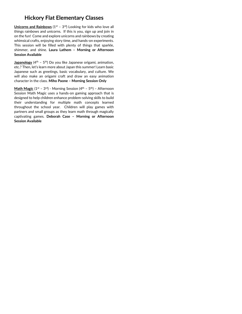#### **Hickory Flat Elementary Classes**

**Unicorns and Rainbows** (1<sup>st</sup> - 3<sup>rd</sup>) Looking for kids who love all things rainbows and unicorns. If this is you, sign up and join in on the fun! Come and explore unicorns and rainbows by creating whimsical crafts, enjoying story time, and hands-on experiments. This session will be filled with plenty of things that sparkle, shimmer, and shine. **Laura Lathem – Morning or Afternoon Session Available**

**Japanology** (4<sup>th</sup> - 5<sup>th</sup>) Do you like Japanese origami, animation, etc.? Then, let's learn more about Japan this summer! Learn basic Japanese such as greetings, basic vocabulary, and culture. We will also make an origami craft and draw an easy animation character in the class. **Miho Paone – Morning Session Only**

**Math Magic** (1<sup>st</sup> – 3<sup>rd</sup>) - Morning Session (4<sup>th</sup> – 5<sup>th</sup>) – Afternoon Session Math Magic uses a hands-on gaming approach that is designed to help children enhance problem-solving skills to build their understanding for multiple math concepts learned throughout the school year. Children will play games with partners and small groups as they learn math through magically captivating games. **Deborah Case – Morning or Afternoon Session Available**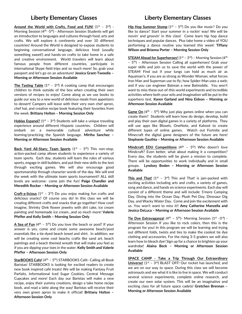#### **Liberty Elementary Classes**

Around the World with Crafts, Food and FUN! (1<sup>st</sup> - 3<sup>rd</sup>) -Morning Session (4<sup>th</sup> -5<sup>th</sup>) - Afternoon Session Students will get an introduction to languages and cultures through food, arts and crafts. We will explore 6 continents and over 10 different countries! Around the World is designed to expose students to beginning conversational language, delicious food (usually something sweet!) and hands-on crafts to take home in a safe and creative environment. World travelers will learn about famous people from different countries, participate in international Skype field trips and so much more! So, grab your passport and let's go on an adventure! **Jessica Grant-Tweedie – Morning or Afternoon Session Available**

**The Tasting Table** ( $1<sup>st</sup> - 3<sup>rd</sup>$ ) A cooking camp that encourages children to think outside of the box when creating their own versions of recipes to enjoy! Come along as we use books to guide our way to a new world of delicious meals from appetizers to dessert! Campers will leave with their very own chef apron, chef hat, and creative recipe book featuring their favorites from the week. **Brittany Holton – Morning Session Only**

**Hablas Espanol?** (1<sup>st</sup> - 3<sup>rd</sup>) Students will take a unique traveling experience around different Hispanic countries. Children will embark on a memorable cultural adventure while learning/practicing the Spanish language. **Mirtha Sanchez – Morning or Afternoon Session Available**

Back Yard All-Stars; Team Sports (1<sup>st</sup> - 5<sup>th</sup>) This non-stop, action-packed camp allows students to experience a variety of team sports. Each day, students will learn the rules of various sports, engage in skill builders, and put their new skills to the test through exciting games. We will also encourage good sportsmanship through character words of the day. We will end the week with the ultimate team sports tournament!! ALL skill levels are welcome- come join the fun! **Paige Chandler and Meredith Rocker – Morning or Afternoon Session Available**

**Craft-a-licious** (1<sup>st</sup> - 3<sup>rd</sup>) Do you enjoy making fun crafts and delicious snacks? Of course you do! In this class we will be creating different crafts and snacks that go together! How cool! Imagine, Shrinky Dink flower jewelry with dirt cake, ice cream painting and homemade ice cream…and so much more! **Valerie Pfeffer and Kelly Smith – Morning Session Only**

 $\overline{A}$  Sea of Fun (4<sup>th</sup> - 5<sup>th</sup>) Do you love the beach or pool? If your answer is yes, come and create some awesome beach/pool essentials like a tie-dyed beach towel and shirt. In addition, we will be creating some cool beachy crafts like sand art, beach paintings and a beach themed wreath that will make you feel as if you are dipping your toes in the water. **Kelly Smith and Valerie Pfeffer – Afternoon Session Only**

**StarBOOKS Cafe!** (4<sup>th</sup> - 5<sup>th</sup>) STARBOOKS Café- Calling all Book Baristas! STARBOOKS is looking for excited readers to create new book inspired café treats! We will be making Fantasy Fruit Parfaits, Informational Iced Sugar Cookies, Central Message Cupcakes and more! Each day our Baristas will make a new recipe, enjoy their yummy creations, design a take home recipe book, and read a latte along the way! Baristas will receive their very own green apron to make it official! **Brittany Holton – Afternoon Session Only**

#### **Liberty Elementary Classes**

**Hip Hop Summer Stomp**  $(1^{st} – 5^{th})$  Do you like music? Do you like to dance? Start your summer in a rockin' way! We will be movin' and groovin' in this class! Come learn hip hop dance techniques and popular dances. Plus take home a video of YOU performing a dance routine you learned this week! **Tiffany Wilson and Brianna Porter – Morning Session Only**

**STEAM Ahead for Superheroes!** (1<sup>st</sup> – 3<sup>rd</sup>) – Morning Session (4<sup>th</sup>) – 5<sup>th</sup>) – Afternoon Session Calling all superheroes! Grab your super skills and join us to save the world with the power of STEAM! Find out if your lungs can hold as much air as Aquaman's; if you are as strong as Wonder Woman; what forces Iron Man and Superman use to fly; how Spider-Man uses a web; and if you can engineer Batman a new Batmobile. You won't want to miss these out-of-this-world experiments and incredible activities where both your wits and imagination will be put to the superhero test. **Karen Garland and Nina Eidson – Morning or Afternoon Session Available**

**Game On** (4<sup>th</sup> - 5<sup>th</sup>) Why just play games online when you can create them? Students will learn how do design, develop, build and play their own digital games in a variety of platforms. They will use apps like Bloxels, OneNote, and Kahoot to create different types of online games. Watch out Fortnite and Minecraft the digital game designers of the future are here! **Stephanie Gauthia – Morning or Afternoon Session Available**

**Mindcraft EDU Competitions** (4<sup>th</sup> - 5<sup>th</sup>) Who doesn't love Mindcraft? Even better, what about making it a competition? Every day, the students will be given a mission to complete. There will be opportunities to work individually and in small groups. **Lyndsey Boden – Morning or Afternoon Session Available**

This and That! (1<sup>st</sup> - 3<sup>rd</sup>) This and That! is jam-packed with exciting activities including arts and crafts, a variety of games, song and dance, and hands on science experiments. Each day will consist of a different theme and will include: S'more Camping Day, Diving into the Ocean Day, Plush Pet Day, Dinosaur Dig Day, and Wacky Water Day. Come and join the excitement with us. You won't want to miss it!! **Amy Catherine Manzella and Jessica DeLuca – Morning or Afternoon Session Available**

**Tie Dye Extravaganza!** (4<sup>th</sup> - 5<sup>th</sup>)- Morning Session (1<sup>st</sup> -3<sup>rd</sup>) -Afternoon Session If you like to rock colors, then this is the program for you! In this program we will be learning and trying out different folds, twists and ties to make the coolest tie dye clothing and accessories. For the rising 3-5 graders we will also learn how to bleach dye! Sign up for a chance to brighten up your wardrobe! **Alaina Beck – Morning or Afternoon Session Available**

**SPACE CAMP - Take a Trip Through Our Extraordinary Universe!** (1<sup>st</sup> - 3<sup>rd</sup>) BLAST OFF! Our rocket has launched, and we are on our way to space. During this class we will become astronauts and see what it is like to live in space. We will conduct several science experiments, complete online research, and create our own solar system. This will be an imaginative and exciting class for all future space cadets! **Gretchen Brennan – Morning or Afternoon Session Available**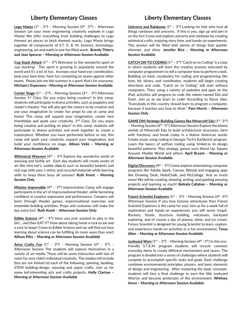#### **Liberty Elementary Classes**

**Lego Mania** (1<sup>st</sup> - 3<sup>rd</sup>) – Morning Session (4<sup>th</sup> -5<sup>th</sup>) – Afternoon Session Let your inner engineering creativity explode in Lego Mania! We offer everything from building challenges to Lego themed art pieces to brick themed snacks. Lego Mania brings together all components of S.T. E. A. M. (science, technology, engineering, art and math) in one fun filled week. **Brandy Thierry and Jean Spencer – Morning or Afternoon Session Available**

**Cup Stack Attack** ( $1^{st}$  –  $5^{th}$ ) Welcome to the wonderful sport of cup stacking! This sport is growing in popularity around the world and it's a lot of fun. Increase your hand eye coordination, beat your best time, have fun competing on teams against other teams. Please join me this summer in a sport that's for everyone. **Michael L'Esperance –Morning or Afternoon Session Available**

Center Stage (1<sup>st</sup> - 2<sup>nd</sup>) - Morning Session (3<sup>rd</sup> - 5<sup>th</sup>) Afternoon Session 1<sup>st</sup> Class: Do you enjoy being creative? In this camp, students will participate in drama activities, such as puppetry and reader's theatre. You will also get the chance to be creative and use your imagination to create fun props to use at camp and home! This camp will expand your imagination, create new friendships and spark your creativity.  $2<sup>nd</sup>$  Class: Do you enjoy being creative and putting on plays? In this camp, students will participate in drama activities and work together to create a masterpiece. Whether you have performed before or not, this camp will spark your creativity, expand your imagination, and build your confidence on stage. **Allison Velie – Morning or Afternoon Session Available**

**Whimsical Weavers** (4<sup>th</sup> - 5<sup>th</sup>) Explore the wonderful world of weaving and textile art. Each day students will create works of art like mini-me's, usable objects such as beautiful baskets and real rugs with yarn, t-shirts, and recycled materials while learning skills to keep them busy all summer! **Ruth Knott – Morning Session Only**

**Mission Improvable** (4<sup>th</sup> - 5<sup>th</sup>) Improvisation Camp will engage participants in the art of improvisational theater, while becoming confident in creative expression and performance. Campers will learn through theater games, improvisational exercises and ensemble-building activities. Props and costumes will make the day extra fun! **Ruth Knott – Afternoon Session Only**

**Edible Science** ( $4<sup>th</sup> - 5<sup>th</sup>$ ) Have you ever wanted to play in the dirt... and then EAT IT? How about taking home a rock to eat and a rock to keep? Come to Edible Science and we will find out how learning about science can be fulfilling (in more ways than one!) **Allison Pitts – Morning or Afternoon Session Available**

Artsy Crafty Fun (1<sup>st</sup> - 3<sup>rd</sup>) - Morning Session (4<sup>th</sup> - 5<sup>th</sup>) -Afternoon Session The students will express themselves in a variety of art media. There will be some instruction with lots of room for your child's individual creativity. The medias will include (but are not limited to) each of the following; painting, beading, STEM building/design, weaving and paper crafts. Join us for some kid-interesting arts and crafts projects. **Holly Clarisse – Morning or Afternoon Session Available**

#### **Liberty Elementary Classes**

**Unicorns and Rainbows** (1<sup>st</sup> – 3<sup>rd</sup>) Looking for kids who love all things rainbows and unicorns. If this is you, sign up and join in on the fun! Come and explore unicorns and rainbows by creating whimsical crafts, enjoying story time, and hands-on experiments. This session will be filled with plenty of things that sparkle, shimmer, and shine. **Jennifer Rice – Morning or Afternoon Session Available**

**CATCH ON TO CODING**  $(1^{st} – 3^{rd})$  "Catch on to Coding" is a class in which students will learn the creative process executed by computer programmers to tell a computer how to perform a task. Building on basic vocabulary for coding and programming like byte, bit, binary, and coordinates, students will begin creating directions and code. "Catch on to Coding" will start without computers. Then, using a variety of websites and apps on the iPad, activities will progress to code the robots named Dot and Dash. Join us as we learn to code! According to Steve Jobs, "Everybody in this country should learn to program a computer, because it teaches you how to think." **Pam Morris – Afternoon Session Only**

**GAME ON! Strategy Building Games like Minecraft Edu (1st - 3rd)** – Morning Session (4<sup>th</sup> -5<sup>th</sup>) Afternoon Session Explore the biome worlds of Minecraft Edu to build architectural structures, farm with fractions, and break codes in a Native American world. Create music using coding in Georgia Tech's EarSketch program. Learn the basics of python coding using trinket.io to design beautiful patterns. Play strategy games such Word Up, Square Around, Marble World and others. **April Bryant – Morning or Afternoon Session Available**

**Digital Discovery** (4<sup>th</sup> - 5<sup>th</sup>) Come explore entertaining computer programs like Adobe Spark, Canvas, Bitmoji and engaging apps like Drawing Desk, HelloChalk, and PicCollage. And so much more! We will be creating, drawing, writing, and painting amazing projects and learning so much! **Belinda Callahan – Morning or Afternoon Session Available**

**Future Scientist Explorers** (1<sup>st</sup> – 3<sup>rd</sup>) – Morning Session (4<sup>th</sup> -5<sup>th</sup>) Afternoon Session If you love Science adventures then Future Scientist Explorers is the camp for you! Join us for a week full of exploration and hands-on experiences you will never forget. Rockets, fossils, structure building, volcanoes, backyard exploring, and of course a day of plasma, slime, and ice cream. Future Scientist is designed for young Scientist to learn, explore, and experience hands-on activities in a fun environment. **Tessa Allen – Morning or Afternoon Session Available** 

**Junkyard Wars** (1<sup>st</sup> – 3<sup>rd</sup>) – Morning Session (4<sup>th</sup> -5<sup>th</sup>) In this ecofriendly S.T.E.M. program students will recycle common everyday items to create different mechanisms and racers. The program is divided into a series of challenges where students will compete to accomplish specific tasks and goals. Each challenge combines environmental principles, physics, and basic elements of design and engineering. After mastering the basic concepts, students will face a final challenge to earn the title Junkyard Warrior and become protectors of the environment. **Whitney Amos – Morning or Afternoon Session Available**